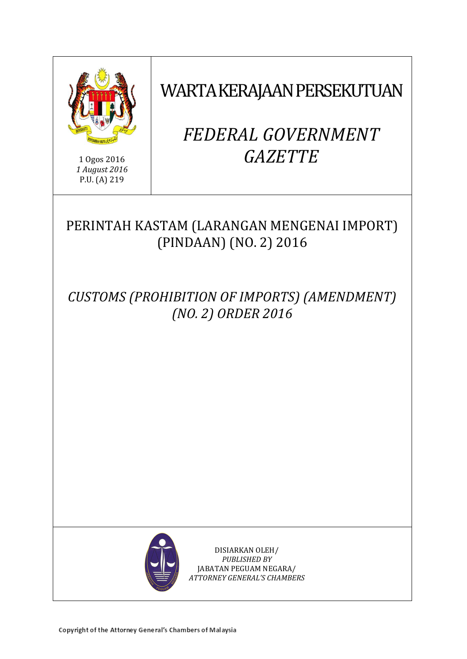

1 Ogos 2016 *1 August 2016* P.U. (A) 219

# WARTA KERAJAAN PERSEKUTUAN

# *FEDERAL GOVERNMENT GAZETTE*

# PERINTAH KASTAM (LARANGAN MENGENAI IMPORT) (PINDAAN) (NO. 2) 2016

*CUSTOMS (PROHIBITION OF IMPORTS) (AMENDMENT) (NO. 2) ORDER 2016*



DISIARKAN OLEH/ *PUBLISHED BY* JABATAN PEGUAM NEGARA/ *ATTORNEY GENERAL'S CHAMBERS*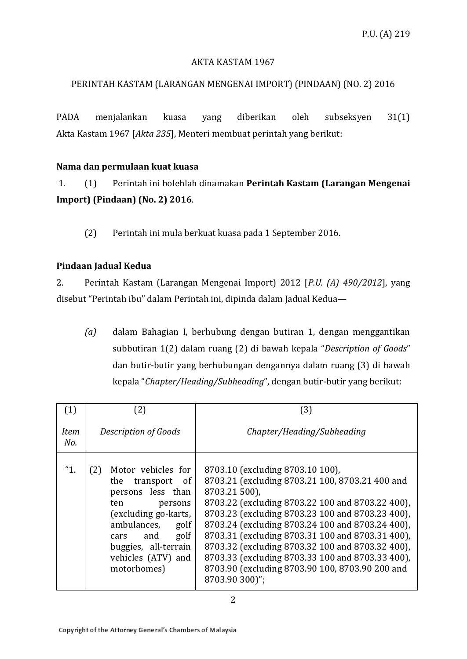#### AKTA KASTAM 1967

#### PERINTAH KASTAM (LARANGAN MENGENAI IMPORT) (PINDAAN) (NO. 2) 2016

PADA menjalankan kuasa yang diberikan oleh subseksyen 31(1) Akta Kastam 1967 [*Akta 235*], Menteri membuat perintah yang berikut:

#### **Nama dan permulaan kuat kuasa**

1. (1) Perintah ini bolehlah dinamakan **Perintah Kastam (Larangan Mengenai Import) (Pindaan) (No. 2) 2016**.

(2) Perintah ini mula berkuat kuasa pada 1 September 2016.

#### **Pindaan Jadual Kedua**

2. Perintah Kastam (Larangan Mengenai Import) 2012 [*P.U. (A) 490/2012*], yang disebut "Perintah ibu" dalam Perintah ini, dipinda dalam Jadual Kedua—

*(a)* dalam Bahagian I, berhubung dengan butiran 1, dengan menggantikan subbutiran 1(2) dalam ruang (2) di bawah kepala "*Description of Goods*" dan butir-butir yang berhubungan dengannya dalam ruang (3) di bawah kepala "*Chapter/Heading/Subheading*", dengan butir-butir yang berikut:

| (1)                | $\left( 2\right)$                                                                                                                                                                                                          | (3)                                                                                                                                                                                                                                                                                                                                                                                                                                                                                               |
|--------------------|----------------------------------------------------------------------------------------------------------------------------------------------------------------------------------------------------------------------------|---------------------------------------------------------------------------------------------------------------------------------------------------------------------------------------------------------------------------------------------------------------------------------------------------------------------------------------------------------------------------------------------------------------------------------------------------------------------------------------------------|
| <b>Item</b><br>No. | Description of Goods                                                                                                                                                                                                       | Chapter/Heading/Subheading                                                                                                                                                                                                                                                                                                                                                                                                                                                                        |
| "1.                | Motor vehicles for<br>(2)<br>transport of<br>the<br>persons less than<br>ten<br>persons<br>(excluding go-karts,<br>ambulances,<br>golf<br>golf<br>and<br>cars<br>buggies, all-terrain<br>vehicles (ATV) and<br>motorhomes) | 8703.10 (excluding 8703.10 100),<br>8703.21 (excluding 8703.21 100, 8703.21 400 and<br>8703.21 500),<br>8703.22 (excluding 8703.22 100 and 8703.22 400),<br>8703.23 (excluding 8703.23 100 and 8703.23 400),<br>8703.24 (excluding 8703.24 100 and 8703.24 400),<br>8703.31 (excluding 8703.31 100 and 8703.31 400),<br>8703.32 (excluding 8703.32 100 and 8703.32 400),<br>8703.33 (excluding 8703.33 100 and 8703.33 400),<br>8703.90 (excluding 8703.90 100, 8703.90 200 and<br>8703.90 300)"; |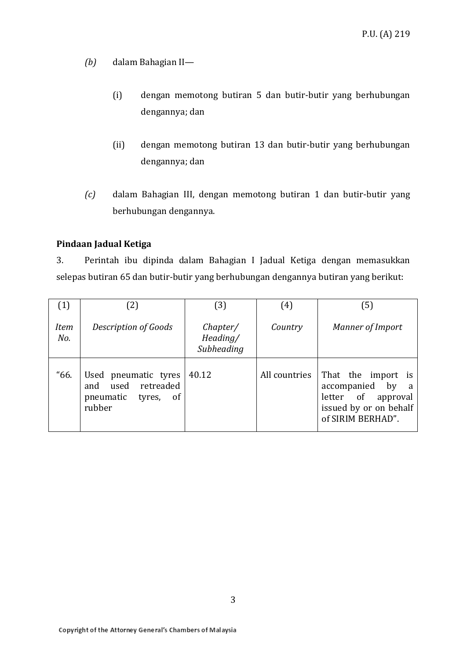- *(b)* dalam Bahagian II—
	- (i) dengan memotong butiran 5 dan butir-butir yang berhubungan dengannya; dan
	- (ii) dengan memotong butiran 13 dan butir-butir yang berhubungan dengannya; dan
- *(c)* dalam Bahagian III, dengan memotong butiran 1 dan butir-butir yang berhubungan dengannya.

#### **Pindaan Jadual Ketiga**

3. Perintah ibu dipinda dalam Bahagian I Jadual Ketiga dengan memasukkan selepas butiran 65 dan butir-butir yang berhubungan dengannya butiran yang berikut:

| (1)                | (2)                                                                                  | (3)                                | (4)           | (5)                                                                                                            |
|--------------------|--------------------------------------------------------------------------------------|------------------------------------|---------------|----------------------------------------------------------------------------------------------------------------|
| <b>Item</b><br>No. | Description of Goods                                                                 | Chapter/<br>Heading/<br>Subheading | Country       | Manner of Import                                                                                               |
| "66.               | Used pneumatic tyres<br>used retreaded<br>and<br>pneumatic<br>tyres,<br>of<br>rubber | 40.12                              | All countries | That the import is<br>accompanied<br>by a<br>letter of approval<br>issued by or on behalf<br>of SIRIM BERHAD". |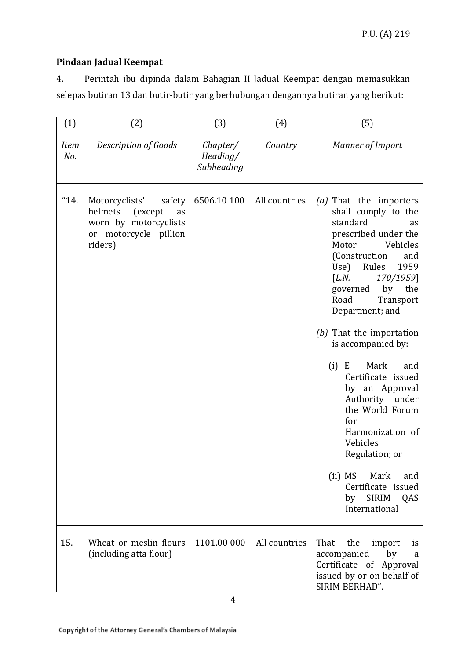### **Pindaan Jadual Keempat**

4. Perintah ibu dipinda dalam Bahagian II Jadual Keempat dengan memasukkan selepas butiran 13 dan butir-butir yang berhubungan dengannya butiran yang berikut:

| (1)                | (2)                                                                                                               | (3)                                | (4)           | (5)                                                                                                                                                                                                                                                                                                                                                                                                                                                                                                                                                                          |
|--------------------|-------------------------------------------------------------------------------------------------------------------|------------------------------------|---------------|------------------------------------------------------------------------------------------------------------------------------------------------------------------------------------------------------------------------------------------------------------------------------------------------------------------------------------------------------------------------------------------------------------------------------------------------------------------------------------------------------------------------------------------------------------------------------|
| <b>Item</b><br>No. | Description of Goods                                                                                              | Chapter/<br>Heading/<br>Subheading | Country       | Manner of Import                                                                                                                                                                                                                                                                                                                                                                                                                                                                                                                                                             |
| "14.               | Motorcyclists'<br>safety<br>helmets<br>(except<br>as<br>worn by motorcyclists<br>or motorcycle pillion<br>riders) | 6506.10 100                        | All countries | (a) That the importers<br>shall comply to the<br>standard<br>as<br>prescribed under the<br>Motor<br>Vehicles<br>(Construction<br>and<br>Use)<br>Rules<br>1959<br>[L.N.<br>170/1959]<br>by<br>the<br>governed<br>Road<br>Transport<br>Department; and<br>That the importation<br>(b)<br>is accompanied by:<br>Mark<br>(i)<br>E<br>and<br>Certificate issued<br>by an Approval<br>Authority<br>under<br>the World Forum<br>for<br>Harmonization of<br>Vehicles<br>Regulation; or<br>(ii) MS<br>Mark<br>and<br>Certificate issued<br><b>SIRIM</b><br>by<br>QAS<br>International |
| 15.                | Wheat or meslin flours<br>(including atta flour)                                                                  | 1101.00 000                        | All countries | That<br>the<br>import<br>is<br>accompanied<br>by<br>a<br>Certificate of Approval<br>issued by or on behalf of<br>SIRIM BERHAD".                                                                                                                                                                                                                                                                                                                                                                                                                                              |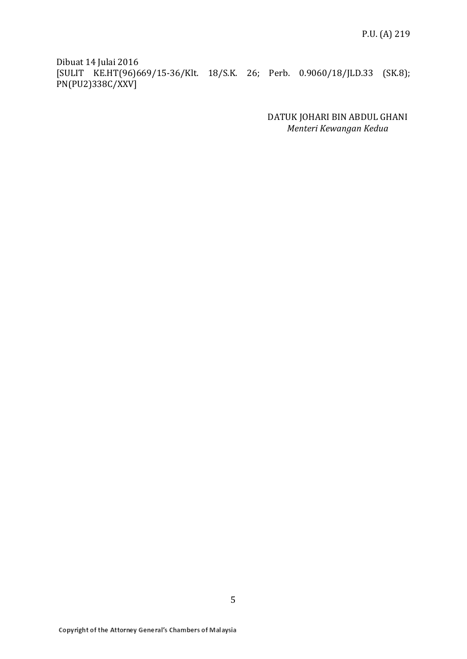Dibuat 14 Julai 2016 [SULIT KE.HT(96)669/15-36/Klt. 18/S.K. 26; Perb. 0.9060/18/JLD.33 (SK.8); PN(PU2)338C/XXV]

> DATUK JOHARI BIN ABDUL GHANI *Menteri Kewangan Kedua*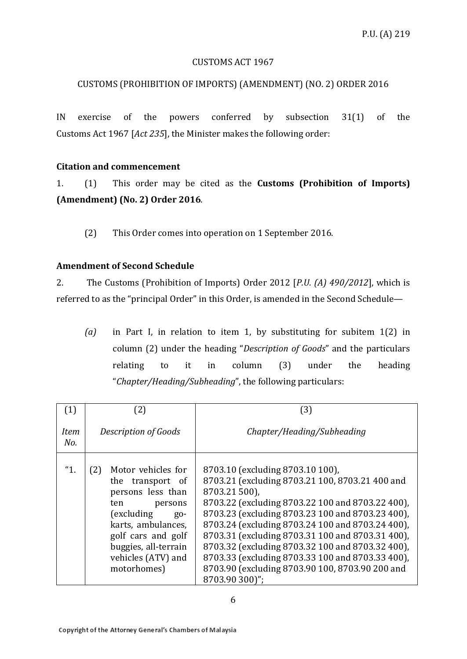#### CUSTOMS ACT 1967

# CUSTOMS (PROHIBITION OF IMPORTS) (AMENDMENT) (NO. 2) ORDER 2016

IN exercise of the powers conferred by subsection 31(1) of the Customs Act 1967 [*Act 235*], the Minister makes the following order:

# **Citation and commencement**

1. (1) This order may be cited as the **Customs (Prohibition of Imports) (Amendment) (No. 2) Order 2016**.

(2) This Order comes into operation on 1 September 2016.

# **Amendment of Second Schedule**

2. The Customs (Prohibition of Imports) Order 2012 [*P.U. (A) 490/2012*], which is referred to as the "principal Order" in this Order, is amended in the Second Schedule—

*(a)* in Part I, in relation to item 1, by substituting for subitem 1(2) in column (2) under the heading "*Description of Goods*" and the particulars relating to it in column (3) under the heading "*Chapter/Heading/Subheading*", the following particulars:

| (1)                | [2]<br>(3)                                                                                                                                                                                                              |                                                                                                                                                                                                                                                                                                                                                                                                                                                                                                   |
|--------------------|-------------------------------------------------------------------------------------------------------------------------------------------------------------------------------------------------------------------------|---------------------------------------------------------------------------------------------------------------------------------------------------------------------------------------------------------------------------------------------------------------------------------------------------------------------------------------------------------------------------------------------------------------------------------------------------------------------------------------------------|
| <b>Item</b><br>No. | Description of Goods                                                                                                                                                                                                    | Chapter/Heading/Subheading                                                                                                                                                                                                                                                                                                                                                                                                                                                                        |
| "1.                | Motor vehicles for<br>(2)<br>the transport of<br>persons less than<br>persons<br>ten<br>(excluding)<br>$g_0$ -<br>karts, ambulances,<br>golf cars and golf<br>buggies, all-terrain<br>vehicles (ATV) and<br>motorhomes) | 8703.10 (excluding 8703.10 100),<br>8703.21 (excluding 8703.21 100, 8703.21 400 and<br>8703.21 500),<br>8703.22 (excluding 8703.22 100 and 8703.22 400),<br>8703.23 (excluding 8703.23 100 and 8703.23 400),<br>8703.24 (excluding 8703.24 100 and 8703.24 400),<br>8703.31 (excluding 8703.31 100 and 8703.31 400),<br>8703.32 (excluding 8703.32 100 and 8703.32 400),<br>8703.33 (excluding 8703.33 100 and 8703.33 400),<br>8703.90 (excluding 8703.90 100, 8703.90 200 and<br>8703.90 300)"; |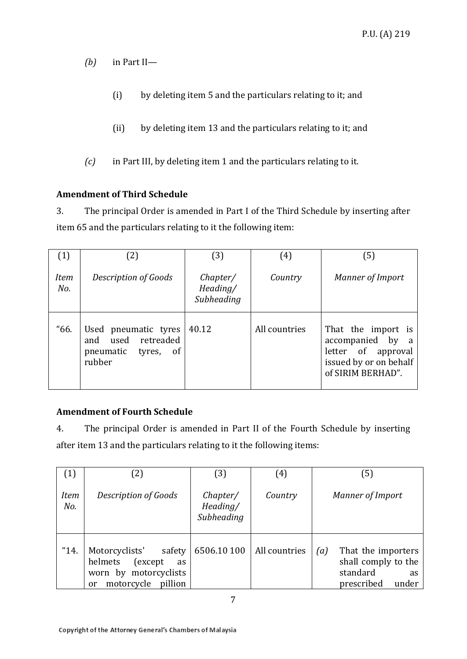*(b)* in Part II—

- (i) by deleting item 5 and the particulars relating to it; and
- (ii) by deleting item 13 and the particulars relating to it; and
- *(c)* in Part III, by deleting item 1 and the particulars relating to it.

## **Amendment of Third Schedule**

3. The principal Order is amended in Part I of the Third Schedule by inserting after item 65 and the particulars relating to it the following item:

| (1)                | (2)                                                                                             | (3)                                | (4)           | (5)                                                                                                         |
|--------------------|-------------------------------------------------------------------------------------------------|------------------------------------|---------------|-------------------------------------------------------------------------------------------------------------|
| <b>Item</b><br>No. | Description of Goods                                                                            | Chapter/<br>Heading/<br>Subheading | Country       | Manner of Import                                                                                            |
| "66.               | Used pneumatic tyres<br>used retreaded<br>and<br>pneumatic<br><sub>of</sub><br>tyres,<br>rubber | 40.12                              | All countries | That the import is<br>accompanied by a<br>letter of approval<br>issued by or on behalf<br>of SIRIM BERHAD". |

## **Amendment of Fourth Schedule**

4. The principal Order is amended in Part II of the Fourth Schedule by inserting after item 13 and the particulars relating to it the following items:

| (1)                | $\left( 2\right)$                                                                                                               | 3)                                 | (4)           | [5]                                                                                              |
|--------------------|---------------------------------------------------------------------------------------------------------------------------------|------------------------------------|---------------|--------------------------------------------------------------------------------------------------|
| <b>Item</b><br>No. | Description of Goods                                                                                                            | Chapter/<br>Heading/<br>Subheading | Country       | Manner of Import                                                                                 |
| "14.               | Motorcyclists'<br>safety<br>helmets<br>(except)<br><b>as</b><br>worn by motorcyclists<br>motorcycle<br>pillion<br><sub>or</sub> | 6506.10 100                        | All countries | That the importers<br>(a)<br>shall comply to the<br>standard<br><b>as</b><br>prescribed<br>under |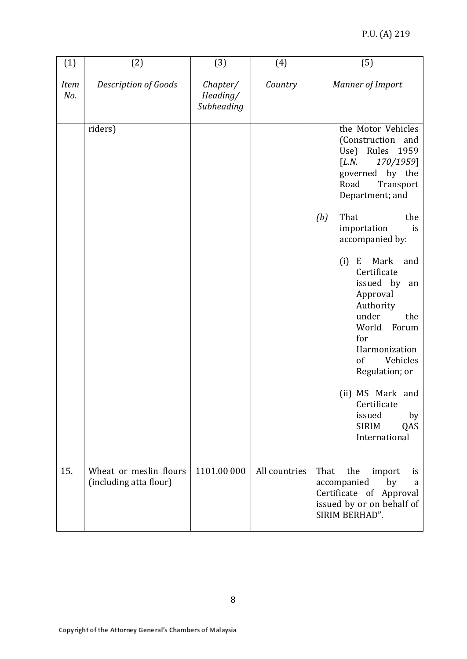#### P.U. (A) 219

| (1)                | (2)                                              | (3)                                | (4)           | (5)                                                                                                                                                                                                  |
|--------------------|--------------------------------------------------|------------------------------------|---------------|------------------------------------------------------------------------------------------------------------------------------------------------------------------------------------------------------|
| <b>Item</b><br>No. | <b>Description of Goods</b>                      | Chapter/<br>Heading/<br>Subheading | Country       | Manner of Import                                                                                                                                                                                     |
|                    | riders)                                          |                                    |               | the Motor Vehicles<br>(Construction<br>and<br>Use) Rules<br>1959<br>[L.N.<br>170/1959]<br>governed by the<br>Road<br>Transport<br>Department; and                                                    |
|                    |                                                  |                                    |               | That<br>(b)<br>the<br>importation<br>is<br>accompanied by:                                                                                                                                           |
|                    |                                                  |                                    |               | (i)<br>Mark<br>E<br>and<br>Certificate<br>issued by<br>an<br>Approval<br>Authority<br>under<br>the<br>World<br>Forum<br>for<br>Harmonization<br>Vehicles<br>of<br>Regulation; or<br>(ii) MS Mark and |
|                    |                                                  |                                    |               | Certificate<br>issued<br>by<br><b>SIRIM</b><br>QAS<br>International                                                                                                                                  |
| 15.                | Wheat or meslin flours<br>(including atta flour) | 1101.00 000                        | All countries | That<br>the<br>import<br>is<br>accompanied<br>by<br>a<br>Certificate of Approval<br>issued by or on behalf of<br>SIRIM BERHAD".                                                                      |